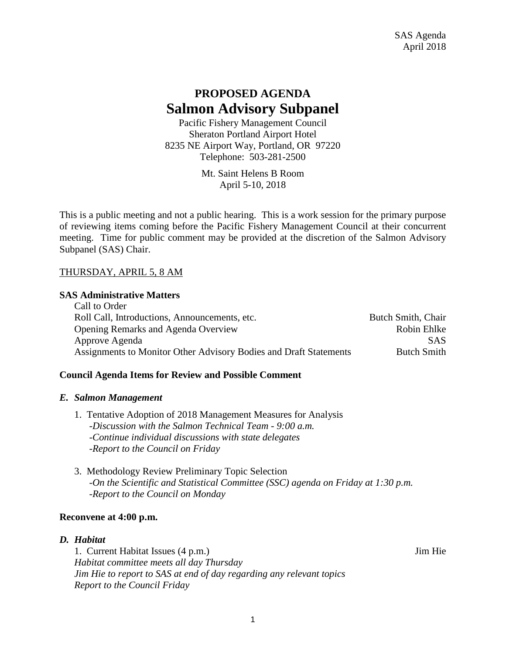# **PROPOSED AGENDA Salmon Advisory Subpanel**

Pacific Fishery Management Council Sheraton Portland Airport Hotel 8235 NE Airport Way, Portland, OR 97220 Telephone: 503-281-2500

> Mt. Saint Helens B Room April 5-10, 2018

This is a public meeting and not a public hearing. This is a work session for the primary purpose of reviewing items coming before the Pacific Fishery Management Council at their concurrent meeting. Time for public comment may be provided at the discretion of the Salmon Advisory Subpanel (SAS) Chair.

# THURSDAY, APRIL 5, 8 AM

### **SAS Administrative Matters**

| Call to Order                                                     |                    |
|-------------------------------------------------------------------|--------------------|
| Roll Call, Introductions, Announcements, etc.                     | Butch Smith, Chair |
| <b>Opening Remarks and Agenda Overview</b>                        | Robin Ehlke        |
| Approve Agenda                                                    | <b>SAS</b>         |
| Assignments to Monitor Other Advisory Bodies and Draft Statements | <b>Butch Smith</b> |

# **Council Agenda Items for Review and Possible Comment**

#### *E. Salmon Management*

- 1. Tentative Adoption of 2018 Management Measures for Analysis -*Discussion with the Salmon Technical Team - 9:00 a.m. -Continue individual discussions with state delegates -Report to the Council on Friday*
- 3. Methodology Review Preliminary Topic Selection *-On the Scientific and Statistical Committee (SSC) agenda on Friday at 1:30 p.m. -Report to the Council on Monday*

#### **Reconvene at 4:00 p.m.**

#### *D. Habitat*

1. Current Habitat Issues (4 p.m.) Jim Hie *Habitat committee meets all day Thursday Jim Hie to report to SAS at end of day regarding any relevant topics Report to the Council Friday*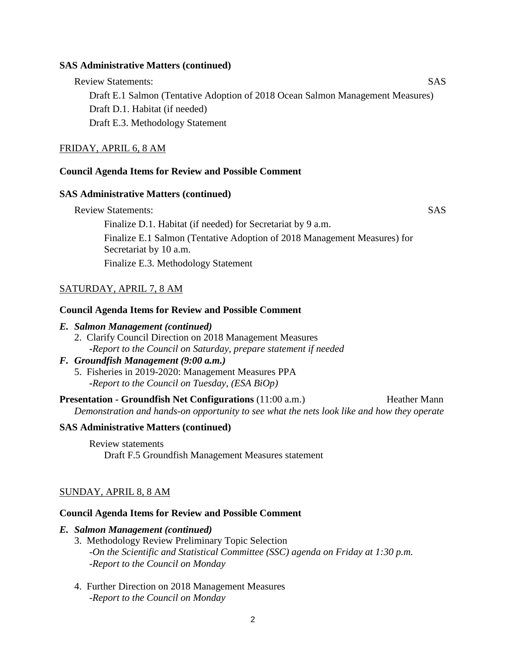#### **SAS Administrative Matters (continued)**

Review Statements: SAS Draft E.1 Salmon (Tentative Adoption of 2018 Ocean Salmon Management Measures) Draft D.1. Habitat (if needed) Draft E.3. Methodology Statement

# FRIDAY, APRIL 6, 8 AM

# **Council Agenda Items for Review and Possible Comment**

### **SAS Administrative Matters (continued)**

Review Statements: SAS Finalize D.1. Habitat (if needed) for Secretariat by 9 a.m. Finalize E.1 Salmon (Tentative Adoption of 2018 Management Measures) for Secretariat by 10 a.m. Finalize E.3. Methodology Statement

# SATURDAY, APRIL 7, 8 AM

### **Council Agenda Items for Review and Possible Comment**

## *E. Salmon Management (continued)*

2. Clarify Council Direction on 2018 Management Measures **-***Report to the Council on Saturday, prepare statement if needed*

# *F. Groundfish Management (9:00 a.m.)*

5. Fisheries in 2019-2020: Management Measures PPA **-***Report to the Council on Tuesday, (ESA BiOp)*

**Presentation - Groundfish Net Configurations** (11:00 a.m.) Heather Mann *Demonstration and hands-on opportunity to see what the nets look like and how they operate*

# **SAS Administrative Matters (continued)**

Review statements Draft F.5 Groundfish Management Measures statement

# SUNDAY, APRIL 8, 8 AM

#### **Council Agenda Items for Review and Possible Comment**

#### *E. Salmon Management (continued)*

- 3. Methodology Review Preliminary Topic Selection *-On the Scientific and Statistical Committee (SSC) agenda on Friday at 1:30 p.m. -Report to the Council on Monday*
- 4. Further Direction on 2018 Management Measures *-Report to the Council on Monday*